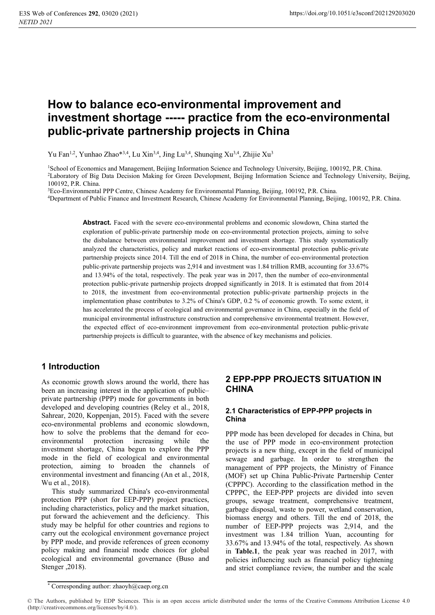# **How to balance eco-environmental improvement and investment shortage ----- practice from the eco-environmental public-private partnership projects in China**

Yu Fan<sup>1,2</sup>, Yunhao Zhao\*<sup>3,4</sup>, Lu Xin<sup>3,4</sup>, Jing Lu<sup>3,4</sup>, Shunqing Xu<sup>3,4</sup>, Zhijie Xu<sup>3</sup>

<sup>1</sup>School of Economics and Management, Beijing Information Science and Technology University, Beijing, 100192, P.R. China.<br><sup>2</sup>Laboratory of Big Data Decision Making for Green Development, Beijing Information Science and Te 100192, P.R. China.<br><sup>3</sup>Eco-Environmental PPP Centre, Chinese Academy for Environmental Planning, Beijing, 100192, P.R. China.

<sup>4</sup>Department of Public Finance and Investment Research, Chinese Academy for Environmental Planning, Beijing, 100192, P.R. China.

**Abstract.** Faced with the severe eco-environmental problems and economic slowdown, China started the exploration of public-private partnership mode on eco-environmental protection projects, aiming to solve the disbalance between environmental improvement and investment shortage. This study systematically analyzed the characteristics, policy and market reactions of eco-environmental protection public-private partnership projects since 2014. Till the end of 2018 in China, the number of eco-environmental protection public-private partnership projects was 2,914 and investment was 1.84 trillion RMB, accounting for 33.67% and 13.94% of the total, respectively. The peak year was in 2017, then the number of eco-environmental protection public-private partnership projects dropped significantly in 2018. It is estimated that from 2014 to 2018, the investment from eco-environmental protection public-private partnership projects in the implementation phase contributes to 3.2% of China's GDP, 0.2 % of economic growth. To some extent, it has accelerated the process of ecological and environmental governance in China, especially in the field of municipal environmental infrastructure construction and comprehensive environmental treatment. However, the expected effect of eco-environment improvement from eco-environmental protection public-private partnership projects is difficult to guarantee, with the absence of key mechanisms and policies.

### **1 Introduction**

As economic growth slows around the world, there has been an increasing interest in the application of public– private partnership (PPP) mode for governments in both developed and developing countries (Reley et al., 2018, Sahrear, 2020, Koppenjan, 2015). Faced with the severe eco-environmental problems and economic slowdown, how to solve the problems that the demand for ecoenvironmental protection increasing while the investment shortage, China begun to explore the PPP mode in the field of ecological and environmental protection, aiming to broaden the channels of environmental investment and financing (An et al., 2018, Wu et al., 2018).

This study summarized China's eco-environmental protection PPP (short for EEP-PPP) project practices, including characteristics, policy and the market situation, put forward the achievement and the deficiency. This study may be helpful for other countries and regions to carry out the ecological environment governance project by PPP mode, and provide references of green economy policy making and financial mode choices for global ecological and environmental governance (Buso and Stenger ,2018).

### **2 EPP-PPP PROJECTS SITUATION IN CHINA**

### **2.1 Characteristics of EPP-PPP projects in China**

PPP mode has been developed for decades in China, but the use of PPP mode in eco-environment protection projects is a new thing, except in the field of municipal sewage and garbage. In order to strengthen the management of PPP projects, the Ministry of Finance (MOF) set up China Public-Private Partnership Center (CPPPC). According to the classification method in the CPPPC, the EEP-PPP projects are divided into seven groups, sewage treatment, comprehensive treatment, garbage disposal, waste to power, wetland conservation, biomass energy and others. Till the end of 2018, the number of EEP-PPP projects was 2,914, and the investment was 1.84 trillion Yuan, accounting for 33.67% and 13.94% of the total, respectively. As shown in **Table.1**, the peak year was reached in 2017, with policies influencing such as financial policy tightening and strict compliance review, the number and the scale

<sup>\*</sup> Corresponding author: zhaoyh@caep.org.cn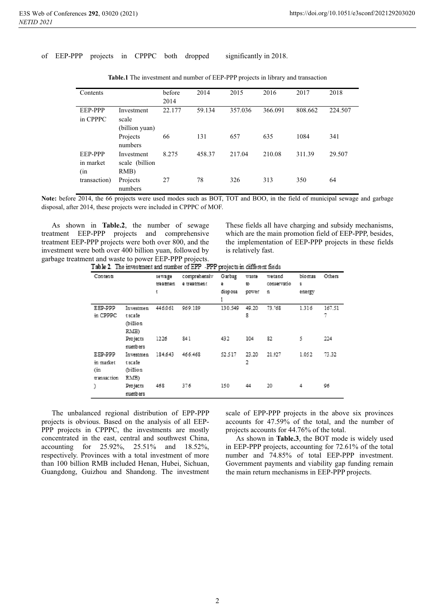#### of EEP-PPP projects in CPPPC both dropped significantly in 2018.

| Contents                           |                                       | before<br>2014 | 2014   | 2015    | 2016    | 2017    | 2018    |
|------------------------------------|---------------------------------------|----------------|--------|---------|---------|---------|---------|
| <b>EEP-PPP</b><br>in CPPPC         | Investment<br>scale<br>(billion yuan) | 22.177         | 59.134 | 357.036 | 366.091 | 808.662 | 224.507 |
|                                    | Projects<br>numbers                   | 66             | 131    | 657     | 635     | 1084    | 341     |
| <b>EEP-PPP</b><br>in market<br>(in | Investment<br>scale (billion<br>RMB)  | 8.275          | 458.37 | 217.04  | 210.08  | 311.39  | 29.507  |
| transaction)                       | Projects<br>numbers                   | 27             | 78     | 326     | 313     | 350     | 64      |

| <b>Table.1</b> The investment and number of EEP-PPP projects in library and transaction |  |  |  |
|-----------------------------------------------------------------------------------------|--|--|--|
|                                                                                         |  |  |  |

**Note:** before 2014, the 66 projects were used modes such as BOT, TOT and BOO, in the field of municipal sewage and garbage disposal, after 2014, these projects were included in CPPPC of MOF.

As shown in **Table.2**, the number of sewage treatment EEP-PPP projects and comprehensive treatment EEP-PPP projects were both over 800, and the investment were both over 400 billion yuan, followed by garbage treatment and waste to power EEP-PPP projects.

These fields all have charging and subsidy mechanisms, which are the main promotion field of EEP-PPP, besides, the implementation of EEP-PPP projects in these fields is relatively fast.

| Contents    |            | se wa ge | comprehensiv | Garbag  | waste | wedand      | biomas | Others |
|-------------|------------|----------|--------------|---------|-------|-------------|--------|--------|
|             |            | treatmen | e treatment  | е       | to.   | conservatio | 8      |        |
|             |            | t        |              | disposa | power | n           | energy |        |
|             |            |          |              | 1       |       |             |        |        |
| EEP-PPP     | Investmen  | 446.061  | 969.189      | 130.549 | 49.20 | 73.768      | 1.316  | 167.51 |
| in CPPPC    | tscale     |          |              |         | 8     |             |        | 7      |
|             | (billion   |          |              |         |       |             |        |        |
|             | RMB)       |          |              |         |       |             |        |        |
|             | Projects   | 1226     | 84 1         | 432     | 104   | 82          | 5      | 224    |
|             | numbers    |          |              |         |       |             |        |        |
| EEP-PPP     | In vestmen | 184,643  | 466.468      | 52.517  | 23.20 | 21.927      | 1.052  | 73.32  |
| in market   | tscale     |          |              |         | 2     |             |        |        |
| (in         | (billion   |          |              |         |       |             |        |        |
| transaction | RMB)       |          |              |         |       |             |        |        |
|             | Projects   | 468      | 376          | 150     | 44    | 20          | 4      | 96     |
|             | numbers    |          |              |         |       |             |        |        |

The unbalanced regional distribution of EPP-PPP projects is obvious. Based on the analysis of all EEP-PPP projects in CPPPC, the investments are mostly concentrated in the east, central and southwest China, accounting for 25.92%, 25.51% and 18.52%, respectively. Provinces with a total investment of more than 100 billion RMB included Henan, Hubei, Sichuan, Guangdong, Guizhou and Shandong. The investment scale of EPP-PPP projects in the above six provinces accounts for 47.59% of the total, and the number of projects accounts for 44.76% of the total.

As shown in **Table.3**, the BOT mode is widely used in EEP-PPP projects, accounting for 72.61% of the total number and 74.85% of total EEP-PPP investment. Government payments and viability gap funding remain the main return mechanisms in EEP-PPP projects.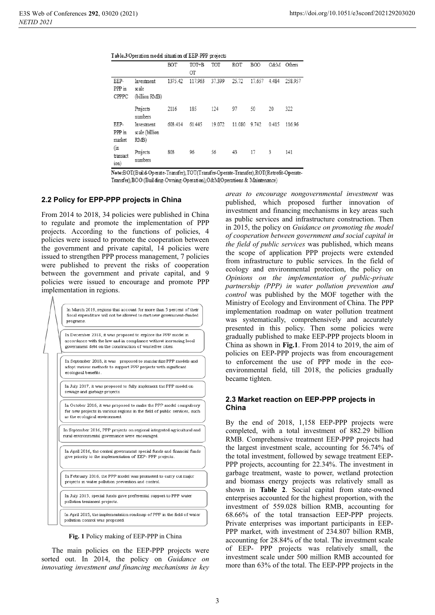| Table.3 Operation model situation of EEP-PPP projects |  |  |  |
|-------------------------------------------------------|--|--|--|
|-------------------------------------------------------|--|--|--|

|                          |                                      | BOT     | TOT+B   | TOT    | ROT    | B <sub>O</sub> O |       | O&M Others |
|--------------------------|--------------------------------------|---------|---------|--------|--------|------------------|-------|------------|
|                          |                                      |         | ОT      |        |        |                  |       |            |
| EEP-<br>PPP in<br>CPPPC  | Investment<br>scale<br>(billion RMB) | 1375.42 | 117.963 | 37.399 | 25.72  | 17.657           | 4.484 | 258.957    |
|                          | Projects<br>numbers                  | 2116    | 185     | 124    | 97     | 50               | 20    | 322        |
| EEP-<br>PPP in<br>market | Investment<br>scale (billion<br>RMB) | 603.414 | 61.445  | 19.072 | 11.080 | 9.742            | 0.415 | 116.96     |
| (in<br>transact<br>ion)  | Projects<br>numbers                  | 803     | 96      | 56     | 43     | 17               | 3     | 141        |

Note:BOT(Build-Operate-Transfer),TOT(Transfer-Operate-Transfer),ROT(Retrofit-Operate-Transfer), BOO (Building-Owning-Operation), O&M(Operations & Maintenance)

#### **2.2 Policy for EPP-PPP projects in China**

From 2014 to 2018, 34 policies were published in China to regulate and promote the implementation of PPP projects. According to the functions of policies, 4 policies were issued to promote the cooperation between the government and private capital, 14 policies were issued to strengthen PPP process management, 7 policies were published to prevent the risks of cooperation between the government and private capital, and 9 policies were issued to encourage and promote PPP implementation in regions.

> In March 2019, regions that account for more than 5 percent of their fiscal expenditure will not be allowed to start new government-funded programs.

In December 2018, it was proposed to explore the PPP model in accordance with the law and in compliance without increasing local government debt on the construction of wastefree cities.

In September 2018, it was proposed to standardize PPP models and adopt various methods to support PPP projects with significant ecological benefits.

In July 2017, it was proposed to fully implement the PPP model on sewage and garbage projects.

In October 2016, it was proposed to make the PPP model compulsory for new projects in various regions in the field of public services, such as the ecological environment

In September 2016, PPP projects on regional integrated agricultural and rural environmental governance were encouraged.

In April 2016, the central government special funds and financial funds give priority to the implementation of EEP- PPP projects.

In February 2016, the PPP model was promoted to carry out major projects in water pollution prevention and control.

In July 2015, special funds gave preferential support to PPP water pollution treatment projects

In April 2015, the implementation roadmap of PPP in the field of water pollution control was proposed.

**Fig. 1** Policy making of EEP-PPP in China

The main policies on the EEP-PPP projects were sorted out. In 2014, the policy on *Guidance on innovating investment and financing mechanisms in key*  *areas to encourage nongovernmental investment* was published, which proposed further innovation of investment and financing mechanisms in key areas such as public services and infrastructure construction. Then in 2015, the policy on *Guidance on promoting the model of cooperation between government and social capital in the field of public services* was published, which means the scope of application PPP projects were extended from infrastructure to public services. In the field of ecology and environmental protection, the policy on *Opinions on the implementation of public-private partnership (PPP) in water pollution prevention and control* was published by the MOF together with the Ministry of Ecology and Environment of China. The PPP implementation roadmap on water pollution treatment was systematically, comprehensively and accurately presented in this policy. Then some policies were gradually published to make EEP-PPP projects bloom in China as shown in **Fig.1**. From 2014 to 2019, the aim of policies on EEP-PPP projects was from encouragement to enforcement the use of PPP mode in the ecoenvironmental field, till 2018, the policies gradually became tighten.

#### **2.3 Market reaction on EEP-PPP projects in China**

By the end of 2018, 1,158 EEP-PPP projects were completed, with a total investment of 882.29 billion RMB. Comprehensive treatment EEP-PPP projects had the largest investment scale, accounting for 56.74% of the total investment, followed by sewage treatment EEP-PPP projects, accounting for 22.34%. The investment in garbage treatment, waste to power, wetland protection and biomass energy projects was relatively small as shown in **Table 2**. Social capital from state-owned enterprises accounted for the highest proportion, with the investment of 559.028 billion RMB, accounting for 68.66% of the total transaction EEP-PPP projects. Private enterprises was important participants in EEP-PPP market, with investment of 234.807 billion RMB, accounting for 28.84% of the total. The investment scale of EEP- PPP projects was relatively small, the investment scale under 500 million RMB accounted for more than 63% of the total. The EEP-PPP projects in the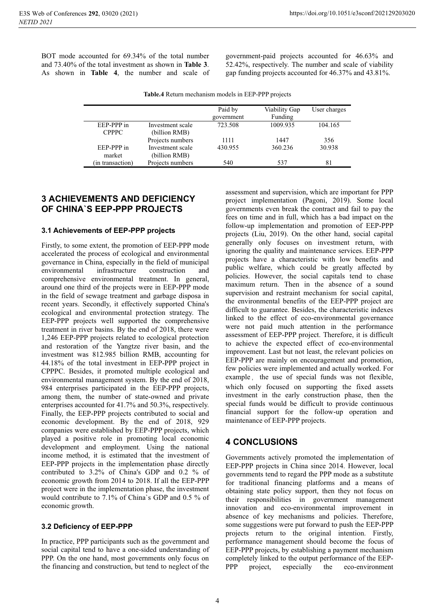BOT mode accounted for 69.34% of the total number and 73.40% of the total investment as shown in **Table 3**. As shown in **Table 4**, the number and scale of

government-paid projects accounted for 46.63% and 52.42%, respectively. The number and scale of viability gap funding projects accounted for 46.37% and 43.81%.

|  | Table.4 Return mechanism models in EEP-PPP projects |  |  |
|--|-----------------------------------------------------|--|--|
|  |                                                     |  |  |

|                            |                                   | Paid by<br>government | Viability Gap<br>Funding | User charges |
|----------------------------|-----------------------------------|-----------------------|--------------------------|--------------|
| EEP-PPP in<br><b>CPPPC</b> | Investment scale<br>(billion RMB) | 723.508               | 1009.935                 | 104.165      |
|                            | Projects numbers                  | 1111                  | 1447                     | 356          |
| EEP-PPP in<br>market       | Investment scale<br>(billion RMB) | 430.955               | 360.236                  | 30.938       |
| (in transaction)           | Projects numbers                  | 540                   | 537                      | 81           |

## **3 ACHIEVEMENTS AND DEFICIENCY OF CHINA`S EEP-PPP PROJECTS**

### **3.1 Achievements of EEP-PPP projects**

Firstly, to some extent, the promotion of EEP-PPP mode accelerated the process of ecological and environmental governance in China, especially in the field of municipal environmental infrastructure construction and comprehensive environmental treatment. In general, around one third of the projects were in EEP-PPP mode in the field of sewage treatment and garbage disposa in recent years. Secondly, it effectively supported China's ecological and environmental protection strategy. The EEP-PPP projects well supported the comprehensive treatment in river basins. By the end of 2018, there were 1,246 EEP-PPP projects related to ecological protection and restoration of the Yangtze river basin, and the investment was 812.985 billion RMB, accounting for 44.18% of the total investment in EEP-PPP project in CPPPC. Besides, it promoted multiple ecological and environmental management system. By the end of 2018, 984 enterprises participated in the EEP-PPP projects, among them, the number of state-owned and private enterprises accounted for 41.7% and 50.3%, respectively. Finally, the EEP-PPP projects contributed to social and economic development. By the end of 2018, 929 companies were established by EEP-PPP projects, which played a positive role in promoting local economic development and employment. Using the national income method, it is estimated that the investment of EEP-PPP projects in the implementation phase directly contributed to 3.2% of China's GDP and 0.2 % of economic growth from 2014 to 2018. If all the EEP-PPP project were in the implementation phase, the investment would contribute to 7.1% of China`s GDP and 0.5 % of economic growth.

### **3.2 Deficiency of EEP-PPP**

In practice, PPP participants such as the government and social capital tend to have a one-sided understanding of PPP. On the one hand, most governments only focus on the financing and construction, but tend to neglect of the

assessment and supervision, which are important for PPP project implementation (Pagoni, 2019). Some local governments even break the contract and fail to pay the fees on time and in full, which has a bad impact on the follow-up implementation and promotion of EEP-PPP projects (Liu, 2019). On the other hand, social capital generally only focuses on investment return, with ignoring the quality and maintenance services. EEP-PPP projects have a characteristic with low benefits and public welfare, which could be greatly affected by policies. However, the social capitals tend to chase maximum return. Then in the absence of a sound supervision and restraint mechanism for social capital, the environmental benefits of the EEP-PPP project are difficult to guarantee. Besides, the characteristic indexes linked to the effect of eco-environmental governance were not paid much attention in the performance assessment of EEP-PPP project. Therefore, it is difficult to achieve the expected effect of eco-environmental improvement. Last but not least, the relevant policies on EEP-PPP are mainly on encouragement and promotion, few policies were implemented and actually worked. For example, the use of special funds was not flexible, which only focused on supporting the fixed assets investment in the early construction phase, then the special funds would be difficult to provide continuous financial support for the follow-up operation and maintenance of EEP-PPP projects.

### **4 CONCLUSIONS**

Governments actively promoted the implementation of EEP-PPP projects in China since 2014. However, local governments tend to regard the PPP mode as a substitute for traditional financing platforms and a means of obtaining state policy support, then they not focus on their responsibilities in government management innovation and eco-environmental improvement in absence of key mechanisms and policies. Therefore, some suggestions were put forward to push the EEP-PPP projects return to the original intention. Firstly, performance management should become the focus of EEP-PPP projects, by establishing a payment mechanism completely linked to the output performance of the EEP-PPP project, especially the eco-environment